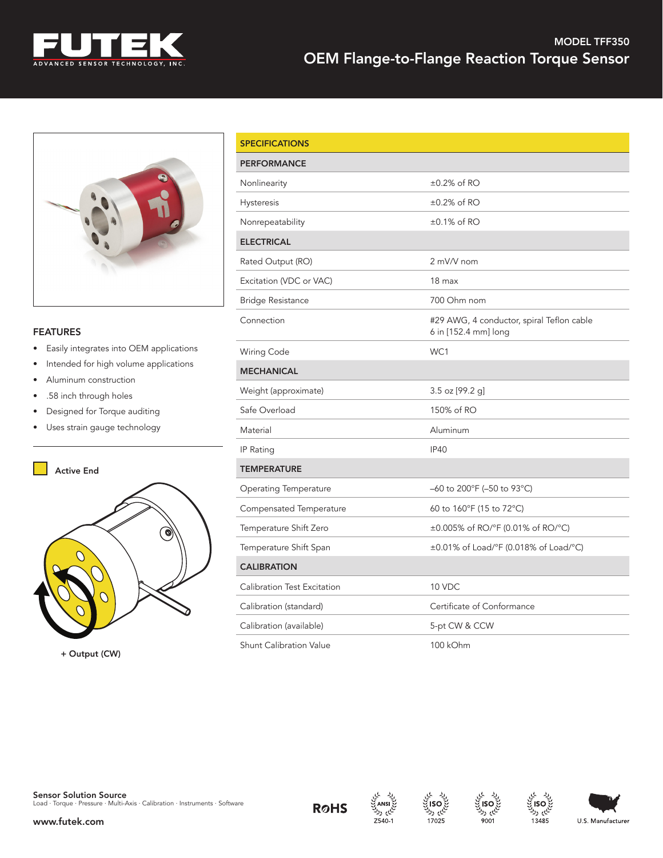

## MODEL TFF350 OEM Flange-to-Flange Reaction Torque Sensor



## **FEATURES**

- Easily integrates into OEM applications
- Intended for high volume applications
- Aluminum construction
- .58 inch through holes
- Designed for Torque auditing
- Uses strain gauge technology



| <b>SPECIFICATIONS</b>          |                                                                   |  |
|--------------------------------|-------------------------------------------------------------------|--|
| <b>PERFORMANCE</b>             |                                                                   |  |
| Nonlinearity                   | ±0.2% of RO                                                       |  |
| Hysteresis                     | $\pm 0.2\%$ of RO                                                 |  |
| Nonrepeatability               | $\pm 0.1\%$ of RO                                                 |  |
| <b>ELECTRICAL</b>              |                                                                   |  |
| Rated Output (RO)              | 2 mV/V nom                                                        |  |
| Excitation (VDC or VAC)        | 18 <sub>max</sub>                                                 |  |
| <b>Bridge Resistance</b>       | 700 Ohm nom                                                       |  |
| Connection                     | #29 AWG, 4 conductor, spiral Teflon cable<br>6 in [152.4 mm] long |  |
| Wiring Code                    | WC1                                                               |  |
| <b>MECHANICAL</b>              |                                                                   |  |
| Weight (approximate)           | $3.5$ oz [99.2 g]                                                 |  |
| Safe Overload                  | 150% of RO                                                        |  |
| Material                       | Aluminum                                                          |  |
| IP Rating                      | IP40                                                              |  |
| <b>TEMPERATURE</b>             |                                                                   |  |
| <b>Operating Temperature</b>   | -60 to 200°F (-50 to 93°C)                                        |  |
| Compensated Temperature        | 60 to 160°F (15 to 72°C)                                          |  |
| Temperature Shift Zero         | ±0.005% of RO/°F (0.01% of RO/°C)                                 |  |
| Temperature Shift Span         | ±0.01% of Load/°F (0.018% of Load/°C)                             |  |
| <b>CALIBRATION</b>             |                                                                   |  |
| Calibration Test Excitation    | 10 VDC                                                            |  |
| Calibration (standard)         | Certificate of Conformance                                        |  |
| Calibration (available)        | 5-pt CW & CCW                                                     |  |
| <b>Shunt Calibration Value</b> | 100 kOhm                                                          |  |







لى رد

13485